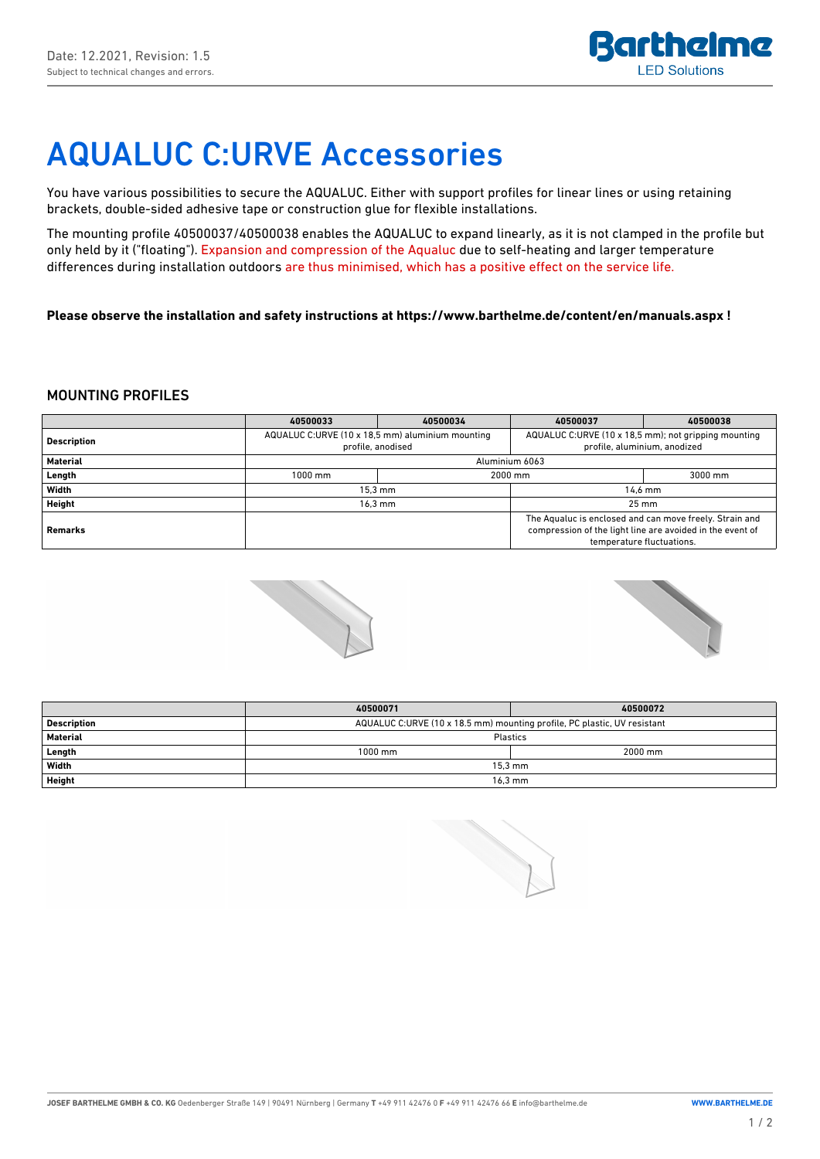

# AQUALUC C:URVE Accessories

You have various possibilities to secure the AQUALUC. Either with support profiles for linear lines or using retaining brackets, double-sided adhesive tape or construction glue for flexible installations.

The mounting profile 40500037/40500038 enables the AQUALUC to expand linearly, as it is not clamped in the profile but only held by it ("floating"). Expansion and compression of the Aqualuc due to self-heating and larger temperature differences during installation outdoors are thus minimised, which has <sup>a</sup> positive effect on the service life.

**Please observe the installation and safety instructions at https://www.barthelme.de/content/en/manuals.aspx !**

#### MOUNTING PROFILES

|                    | 40500033                                         | 40500034 | 40500037                                                                                                                                          | 40500038 |
|--------------------|--------------------------------------------------|----------|---------------------------------------------------------------------------------------------------------------------------------------------------|----------|
| <b>Description</b> | AQUALUC C:URVE (10 x 18,5 mm) aluminium mounting |          | AQUALUC C: URVE (10 x 18.5 mm); not gripping mounting                                                                                             |          |
|                    | profile, anodised                                |          | profile, aluminium, anodized                                                                                                                      |          |
| <b>Material</b>    | Aluminium 6063                                   |          |                                                                                                                                                   |          |
| Length             | 1000 mm                                          | 2000 mm  |                                                                                                                                                   | 3000 mm  |
| Width              | $15.3 \text{ mm}$                                |          | 14.6 mm                                                                                                                                           |          |
| Height             | $16.3 \text{ mm}$                                |          | $25 \text{ mm}$                                                                                                                                   |          |
| <b>Remarks</b>     |                                                  |          | The Aqualuc is enclosed and can move freely. Strain and<br>compression of the light line are avoided in the event of<br>temperature fluctuations. |          |





|                    | 40500071                                                                 | 40500072 |  |
|--------------------|--------------------------------------------------------------------------|----------|--|
| <b>Description</b> | AQUALUC C:URVE (10 x 18.5 mm) mounting profile, PC plastic, UV resistant |          |  |
| <b>Material</b>    | <b>Plastics</b>                                                          |          |  |
| Length             | 1000 mm                                                                  | 2000 mm  |  |
| Width              | $15.3 \text{ mm}$                                                        |          |  |
| Height             | $16.3 \text{ mm}$                                                        |          |  |